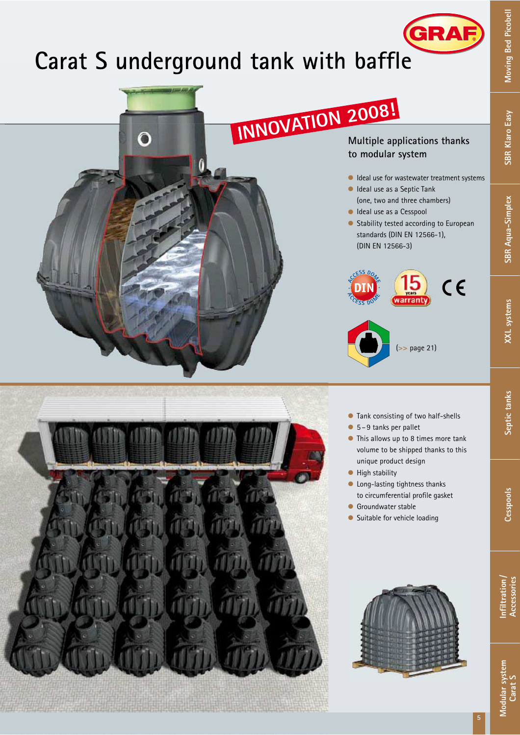# **Carat S underground tank with baffle**



**Otto Graf GmbH t** Carl-Zeiss-Straße 2-6 **t** D-79331 Teningen **t** Phone: +49 (0) 76 41/5 89-0 **t** Fax: +49 (0 )76 41/5 89-50 **t** info@graf-online.de **t** www.graf-online.de

**GRAF** 

**5**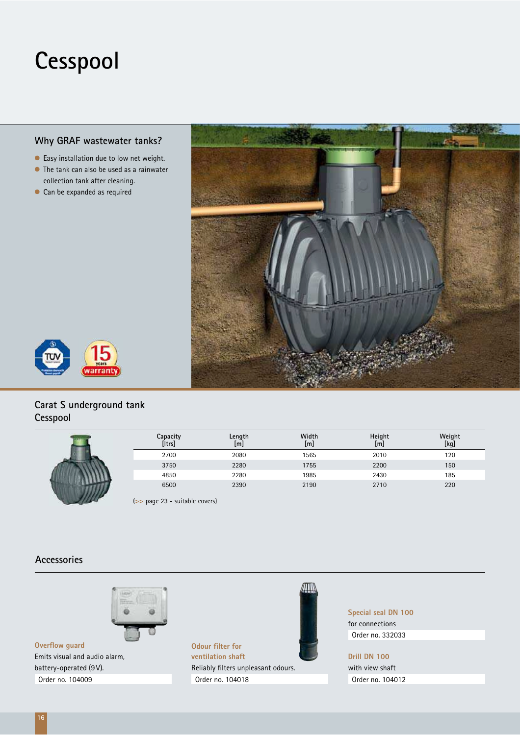### **Cesspool**

#### **Why GRAF wastewater tanks?**

- l Easy installation due to low net weight.
- $\bullet$  The tank can also be used as a rainwater collection tank after cleaning.
- Can be expanded as required





#### **Carat S underground tank Cesspool**

| Capacity<br>[Itrs] | Length<br>$\lfloor m \rfloor$ | Width<br>[m] | Height<br>[m] | Weight<br>[kg] |
|--------------------|-------------------------------|--------------|---------------|----------------|
| 2700               | 2080                          | 1565         | 2010          | 120            |
| 3750               | 2280                          | 1755         | 2200          | 150            |
| 4850               | 2280                          | 1985         | 2430          | 185            |
| 6500               | 2390                          | 2190         | 2710          | 220            |

(**>>** page 23 - suitable covers)

#### **Accessories**



**Overflow guard** Emits visual and audio alarm, battery-operated (9 V). Order no. 104009



**Special seal DN 100** for connections Order no. 332033

**Drill DN 100**  with view shaft Order no. 104012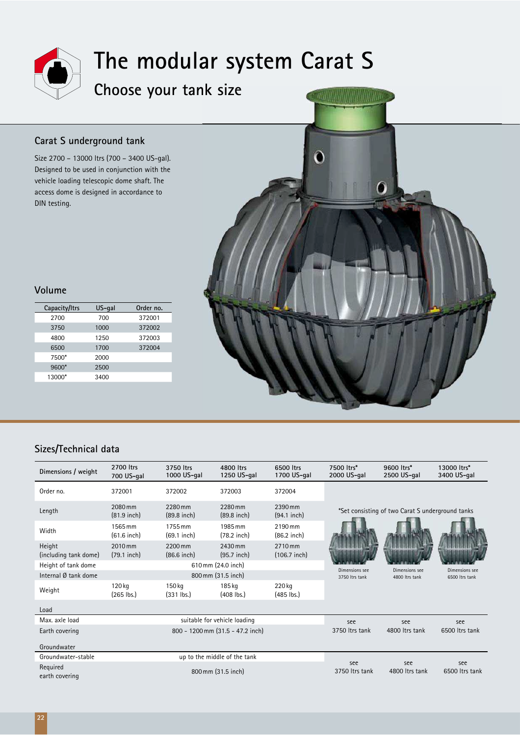

## **The modular system Carat S**

### **Choose your tank size nk**

#### **Carat S underground tank**

Size 2700 – 13000 ltrs (700 – 3400 US-gal). Designed to be used in conjunction with the vehicle loading telescopic dome shaft. The access dome is designed in accordance to DIN testing.



#### **Volume**

| Capacity/Itrs | US-gal | Order no. |  |  |
|---------------|--------|-----------|--|--|
| 2700          | 700    | 372001    |  |  |
| 3750          | 1000   | 372002    |  |  |
| 4800          | 1250   | 372003    |  |  |
| 6500          | 1700   | 372004    |  |  |
| 7500*         | 2000   |           |  |  |
| 9600*         | 2500   |           |  |  |
| 13000*        | 3400   |           |  |  |

#### **Sizes/Technical data**

| Dimensions / weight             | 2700 ltrs<br>700 US-gal      | 3750 ltrs<br>1000 US-gal         | 4800 ltrs<br>1250 US-gal | 6500 ltrs<br>1700 US-gal  | 7500 ltrs*<br>2000 US-gal                        | 9600 ltrs*<br>2500 US-gal        | 13000 ltrs*<br>3400 US-gal       |
|---------------------------------|------------------------------|----------------------------------|--------------------------|---------------------------|--------------------------------------------------|----------------------------------|----------------------------------|
| Order no.                       | 372001                       | 372002                           | 372003                   | 372004                    |                                                  |                                  |                                  |
| Length                          | 2080 mm<br>$(81.9$ inch)     | 2280 mm<br>$(89.8$ inch)         | 2280 mm<br>$(89.8$ inch) | 2390 mm<br>$(94.1$ inch)  | *Set consisting of two Carat S underground tanks |                                  |                                  |
| Width                           | 1565 mm<br>$(61.6$ inch)     | 1755 mm<br>$(69.1$ inch)         | 1985 mm<br>$(78.2$ inch) | 2190 mm<br>$(86.2$ inch)  |                                                  |                                  |                                  |
| Height<br>(including tank dome) | 2010 mm<br>$(79.1$ inch)     | 2200 mm<br>$(86.6$ inch)         | 2430 mm<br>$(95.7$ inch) | 2710 mm<br>$(106.7$ inch) |                                                  |                                  |                                  |
| Height of tank dome             |                              | 610 mm (24.0 inch)               |                          |                           |                                                  |                                  |                                  |
| Internal Ø tank dome            |                              | 800 mm (31.5 inch)               |                          |                           | Dimensions see<br>3750 Itrs tank                 | Dimensions see<br>4800 ltrs tank | Dimensions see<br>6500 Itrs tank |
| Weight                          | 120 kg<br>$(265$ lbs.)       | 150 kg<br>$(331$ lbs.)           | 185 kg<br>$(408$ lbs.)   | 220 kg<br>$(485$ lbs.)    |                                                  |                                  |                                  |
| Load                            |                              |                                  |                          |                           |                                                  |                                  |                                  |
| Max. axle load                  |                              | suitable for vehicle loading     |                          |                           |                                                  | see                              | see                              |
| Earth covering                  |                              | 800 - 1200 mm (31.5 - 47.2 inch) |                          |                           | 3750 Itrs tank                                   | 4800 Itrs tank                   | 6500 ltrs tank                   |
| Groundwater                     |                              |                                  |                          |                           |                                                  |                                  |                                  |
| Groundwater-stable              | up to the middle of the tank |                                  |                          |                           |                                                  |                                  |                                  |
| Required<br>earth covering      | 800 mm (31.5 inch)           |                                  |                          |                           | see<br>3750 Itrs tank                            | see<br>4800 Itrs tank            | see<br>6500 ltrs tank            |